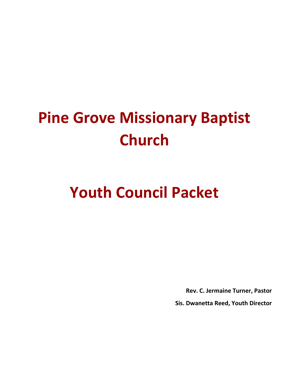# **Pine Grove Missionary Baptist Church**

## **Youth Council Packet**

**Rev. C. Jermaine Turner, Pastor**

**Sis. Dwanetta Reed, Youth Director**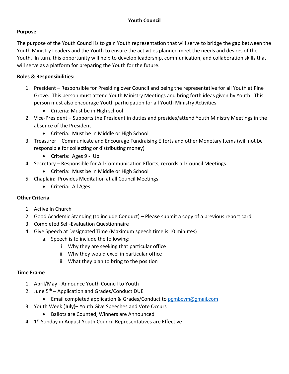#### **Purpose**

The purpose of the Youth Council is to gain Youth representation that will serve to bridge the gap between the Youth Ministry Leaders and the Youth to ensure the activities planned meet the needs and desires of the Youth. In turn, this opportunity will help to develop leadership, communication, and collaboration skills that will serve as a platform for preparing the Youth for the future.

#### **Roles & Responsibilities:**

- 1. President Responsible for Presiding over Council and being the representative for all Youth at Pine Grove. This person must attend Youth Ministry Meetings and bring forth ideas given by Youth. This person must also encourage Youth participation for all Youth Ministry Activities
	- Criteria: Must be in High school
- 2. Vice-President Supports the President in duties and presides/attend Youth Ministry Meetings in the absence of the President
	- Criteria: Must be in Middle or High School
- 3. Treasurer Communicate and Encourage Fundraising Efforts and other Monetary Items (will not be responsible for collecting or distributing money)
	- Criteria: Ages 9 Up
- 4. Secretary Responsible for All Communication Efforts, records all Council Meetings
	- Criteria: Must be in Middle or High School
- 5. Chaplain: Provides Meditation at all Council Meetings
	- Criteria: All Ages

#### **Other Criteria**

- 1. Active In Church
- 2. Good Academic Standing (to include Conduct) Please submit a copy of a previous report card
- 3. Completed Self-Evaluation Questionnaire
- 4. Give Speech at Designated Time (Maximum speech time is 10 minutes)
	- a. Speech is to include the following:
		- i. Why they are seeking that particular office
		- ii. Why they would excel in particular office
		- iii. What they plan to bring to the position

#### **Time Frame**

- 1. April/May Announce Youth Council to Youth
- 2. June 5<sup>th</sup> Application and Grades/Conduct DUE
	- Email completed application & Grades/Conduct to pambcym@gmail.com
- 3. Youth Week (July)– Youth Give Speeches and Vote Occurs
	- Ballots are Counted, Winners are Announced
- 4. 1<sup>st</sup> Sunday in August Youth Council Representatives are Effective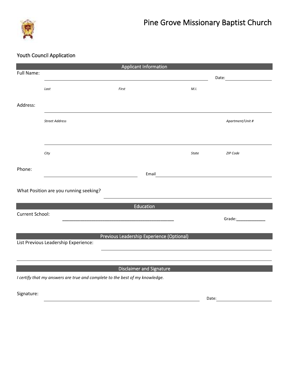

### Youth Council Application

| <b>Applicant Information</b>                                                      |                       |       |                                                          |                  |  |  |  |  |  |  |
|-----------------------------------------------------------------------------------|-----------------------|-------|----------------------------------------------------------|------------------|--|--|--|--|--|--|
| Full Name:                                                                        |                       |       |                                                          | Date:            |  |  |  |  |  |  |
|                                                                                   | Last                  | First | M.I.                                                     |                  |  |  |  |  |  |  |
| Address:                                                                          |                       |       |                                                          |                  |  |  |  |  |  |  |
|                                                                                   | <b>Street Address</b> |       |                                                          | Apartment/Unit # |  |  |  |  |  |  |
|                                                                                   |                       |       |                                                          |                  |  |  |  |  |  |  |
|                                                                                   | City                  |       | <b>State</b>                                             | ZIP Code         |  |  |  |  |  |  |
| Phone:                                                                            |                       | Email | <u> 1989 - Andrea State Barbara, amerikan personal (</u> |                  |  |  |  |  |  |  |
| What Position are you running seeking?                                            |                       |       |                                                          |                  |  |  |  |  |  |  |
| Education                                                                         |                       |       |                                                          |                  |  |  |  |  |  |  |
| <b>Current School:</b>                                                            |                       |       |                                                          | Grade:           |  |  |  |  |  |  |
| Previous Leadership Experience (Optional)<br>List Previous Leadership Experience: |                       |       |                                                          |                  |  |  |  |  |  |  |
|                                                                                   |                       |       |                                                          |                  |  |  |  |  |  |  |
| <b>Disclaimer and Signature</b>                                                   |                       |       |                                                          |                  |  |  |  |  |  |  |
| I certify that my answers are true and complete to the best of my knowledge.      |                       |       |                                                          |                  |  |  |  |  |  |  |
| Signature:                                                                        |                       |       | Date:                                                    |                  |  |  |  |  |  |  |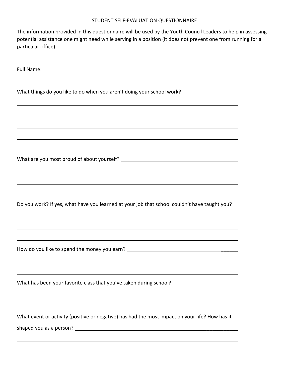#### STUDENT SELF-EVALUATION QUESTIONNAIRE

The information provided in this questionnaire will be used by the Youth Council Leaders to help in assessing potential assistance one might need while serving in a position (it does not prevent one from running for a particular office).

Full Name:

What things do you like to do when you aren't doing your school work?

What are you most proud of about yourself?

Do you work? If yes, what have you learned at your job that school couldn't have taught you?

 $\frac{1}{2}$ 

How do you like to spend the money you earn? \_\_\_\_\_\_

What has been your favorite class that you've taken during school?

What event or activity (positive or negative) has had the most impact on your life? How has it shaped you as a person? \_\_\_\_\_\_\_\_\_\_\_\_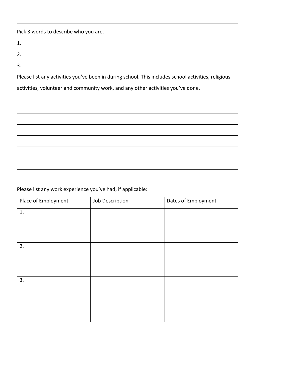Pick 3 words to describe who you are.

1.

2.

3.

Please list any activities you've been in during school. This includes school activities, religious activities, volunteer and community work, and any other activities you've done.

Please list any work experience you've had, if applicable:

| Place of Employment | Job Description | Dates of Employment |
|---------------------|-----------------|---------------------|
| 1.                  |                 |                     |
|                     |                 |                     |
|                     |                 |                     |
| 2.                  |                 |                     |
|                     |                 |                     |
|                     |                 |                     |
| 3.                  |                 |                     |
|                     |                 |                     |
|                     |                 |                     |
|                     |                 |                     |